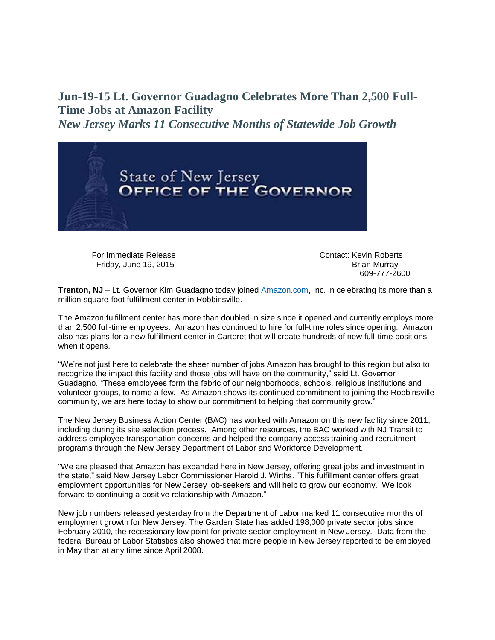## **Jun-19-15 Lt. Governor Guadagno Celebrates More Than 2,500 Full-Time Jobs at Amazon Facility**

*New Jersey Marks 11 Consecutive Months of Statewide Job Growth*



For Immediate Release Contact: Kevin Roberts Friday, June 19, 2015 **Brian Murray** Brian Murray

609-777-2600

**Trenton, NJ** – Lt. Governor Kim Guadagno today joined [Amazon.com,](http://amazon.com/) Inc. in celebrating its more than a million-square-foot fulfillment center in Robbinsville.

The Amazon fulfillment center has more than doubled in size since it opened and currently employs more than 2,500 full-time employees. Amazon has continued to hire for full-time roles since opening. Amazon also has plans for a new fulfillment center in Carteret that will create hundreds of new full-time positions when it opens.

"We're not just here to celebrate the sheer number of jobs Amazon has brought to this region but also to recognize the impact this facility and those jobs will have on the community," said Lt. Governor Guadagno. "These employees form the fabric of our neighborhoods, schools, religious institutions and volunteer groups, to name a few. As Amazon shows its continued commitment to joining the Robbinsville community, we are here today to show our commitment to helping that community grow."

The New Jersey Business Action Center (BAC) has worked with Amazon on this new facility since 2011, including during its site selection process. Among other resources, the BAC worked with NJ Transit to address employee transportation concerns and helped the company access training and recruitment programs through the New Jersey Department of Labor and Workforce Development.

"We are pleased that Amazon has expanded here in New Jersey, offering great jobs and investment in the state," said New Jersey Labor Commissioner Harold J. Wirths. "This fulfillment center offers great employment opportunities for New Jersey job-seekers and will help to grow our economy. We look forward to continuing a positive relationship with Amazon."

New job numbers released yesterday from the Department of Labor marked 11 consecutive months of employment growth for New Jersey. The Garden State has added 198,000 private sector jobs since February 2010, the recessionary low point for private sector employment in New Jersey. Data from the federal Bureau of Labor Statistics also showed that more people in New Jersey reported to be employed in May than at any time since April 2008.